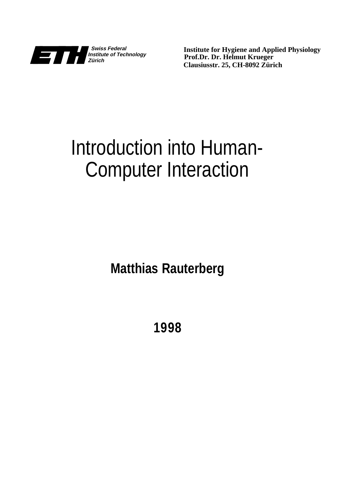

**Institute for Hygiene and Applied Physiology Prof.Dr. Dr. Helmut Krueger Clausiusstr. 25, CH-8092 Zürich**

# Introduction into Human-Computer Interaction

**Matthias Rauterberg**

**1998**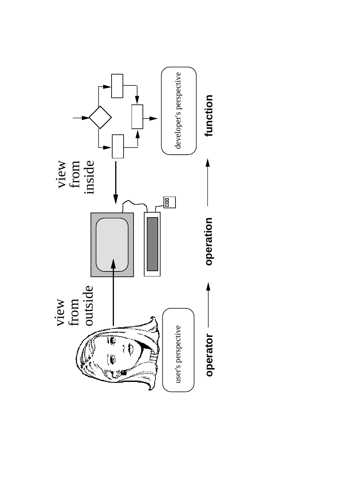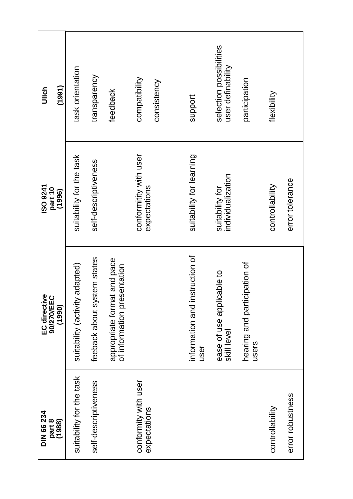| DIN 66 234<br>part 8<br>(1988)       | EC directive<br>90/270/EEC<br>(1990)                       | <b>ISO 9241</b><br>part 10<br>(1996)   | (1991)<br>Ulich                              |
|--------------------------------------|------------------------------------------------------------|----------------------------------------|----------------------------------------------|
| suitability for the task             | adapted)<br>suitability (activity                          | suitability for the task               | task orientation                             |
| self-descriptiveness                 | feeback about system states                                | self-descriptiveness                   | transparency                                 |
|                                      | appropriate format and pace<br>of information presentation |                                        | feedback                                     |
| conformity with user<br>expectations |                                                            | conformitity with user<br>expectations | compatibility                                |
|                                      |                                                            |                                        | consistency                                  |
|                                      | struction of<br>information and in<br>user                 | suitability for learning               | support                                      |
|                                      | ease of use applicable to<br>skill level                   | individualization<br>suitability for   | selection possibilities<br>user definability |
|                                      | hearing and participation of<br>users                      |                                        | participation                                |
| controllability                      |                                                            | controllability                        | flexibility                                  |
| error robustness                     |                                                            | error tolerance                        |                                              |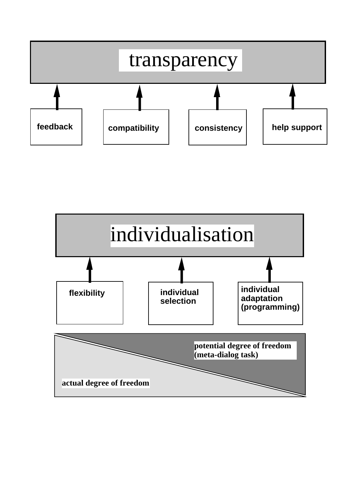

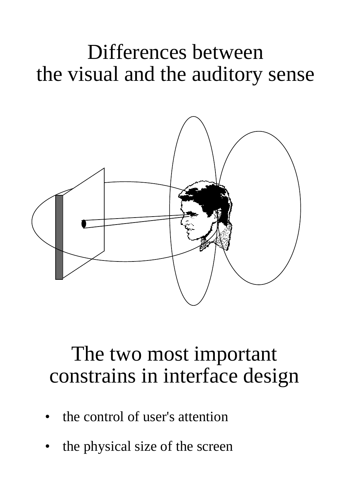## Differences between the visual and the auditory sense



### The two most important constrains in interface design

- the control of user's attention
- the physical size of the screen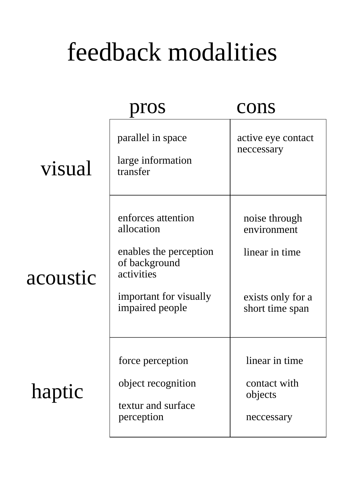# feedback modalities

|          | OS                                                                                                                                     | cons                                                                                   |  |  |
|----------|----------------------------------------------------------------------------------------------------------------------------------------|----------------------------------------------------------------------------------------|--|--|
| visual   | parallel in space<br>large information<br>transfer                                                                                     | active eye contact<br>neccessary                                                       |  |  |
| acoustic | enforces attention<br>allocation<br>enables the perception<br>of background<br>activities<br>important for visually<br>impaired people | noise through<br>environment<br>linear in time<br>exists only for a<br>short time span |  |  |
| haptic   | force perception<br>object recognition<br>textur and surface<br>perception                                                             | linear in time<br>contact with<br>objects<br>neccessary                                |  |  |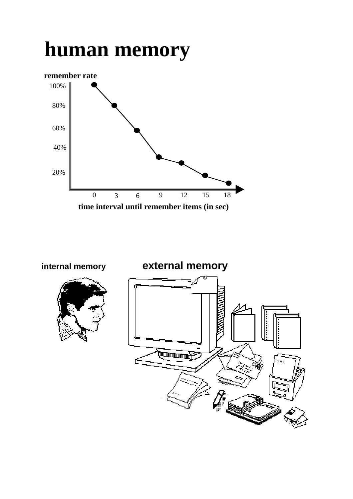# **human memory**



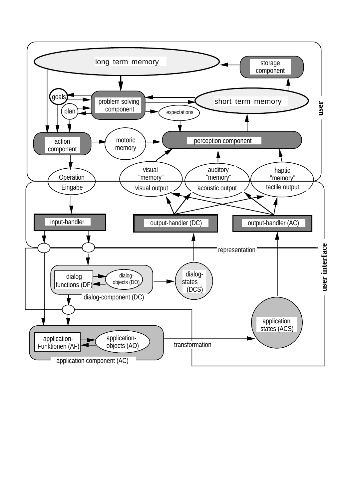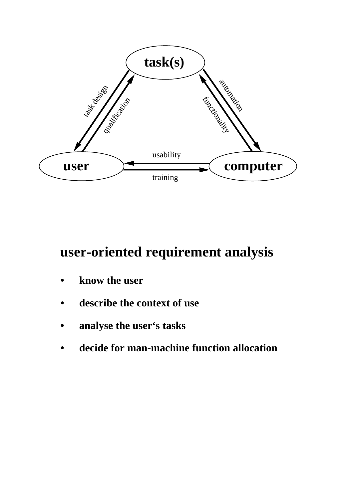

### **user-oriented requirement analysis**

- **know the user**
- **• describe the context of use**
- **• analyse the user's tasks**
- **• decide for man-machine function allocation**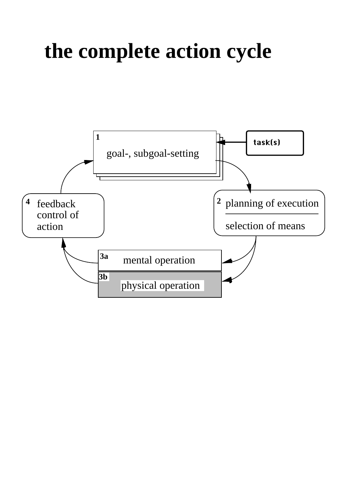# **the complete action cycle**

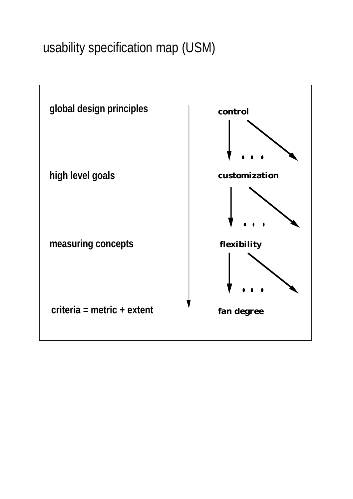### usability specification map (USM)

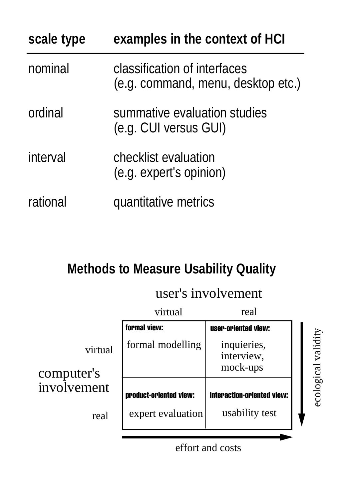| scale type | examples in the context of HCI                                     |
|------------|--------------------------------------------------------------------|
| nominal    | classification of interfaces<br>(e.g. command, menu, desktop etc.) |
| ordinal    | summative evaluation studies<br>(e.g. CUI versus GUI)              |
| interval   | checklist evaluation<br>(e.g. expert's opinion)                    |
| rational   | quantitative metrics                                               |

### **Methods to Measure Usability Quality**

### user's involvement

|                       | virtual                                     | real                                         |            |
|-----------------------|---------------------------------------------|----------------------------------------------|------------|
|                       | formal view:                                | user-oriented view:                          |            |
| virtual<br>computer's | formal modelling                            | inquieries,<br>interview,<br>mock-ups        | validity   |
| involvement<br>real   | product-oriented view:<br>expert evaluation | interaction-oriented view:<br>usability test | ecological |

effort and costs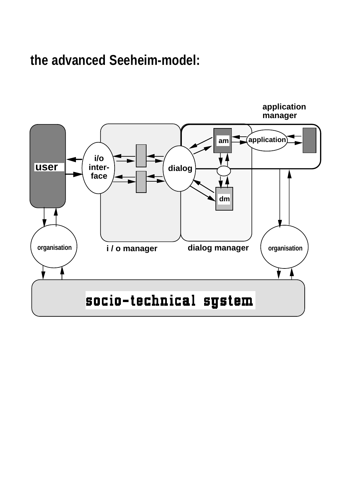### **the advanced Seeheim-model:**

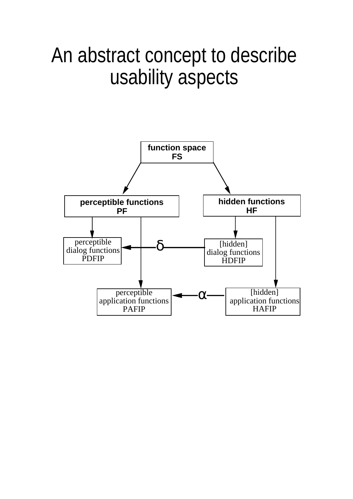# An abstract concept to describe usability aspects

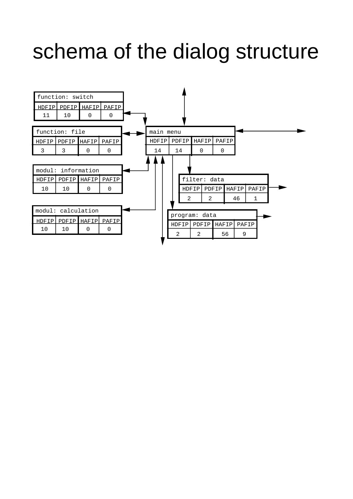# schema of the dialog structure

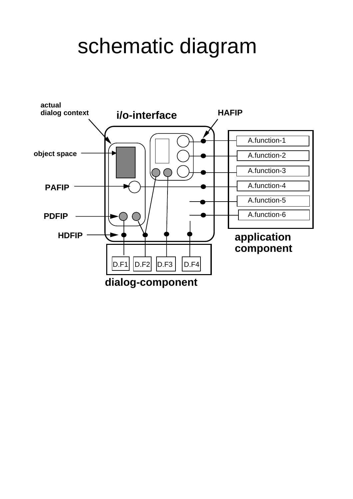# schematic diagram

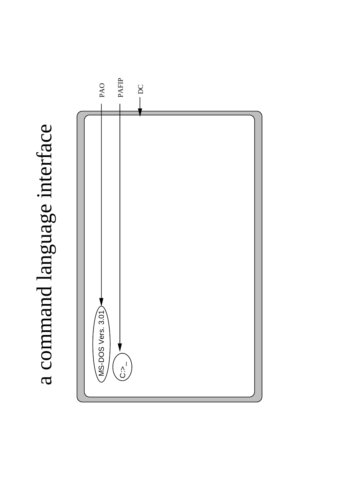a command language interface a command language interface

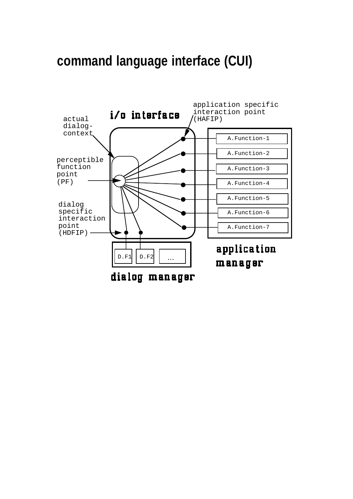### **command language interface (CUI)**

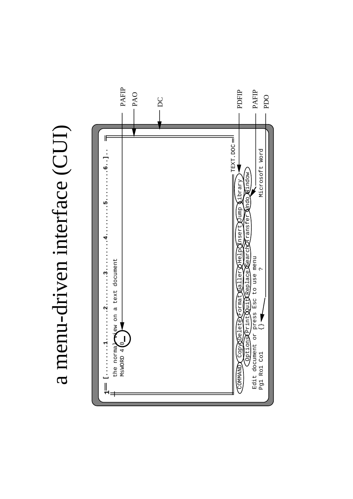# a menu-driven interface (CUI) a menu-driven interface (CUI)

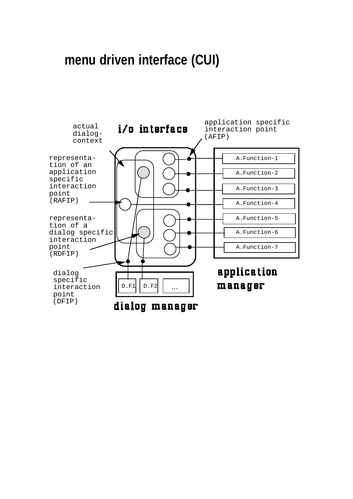### **menu driven interface (CUI)**

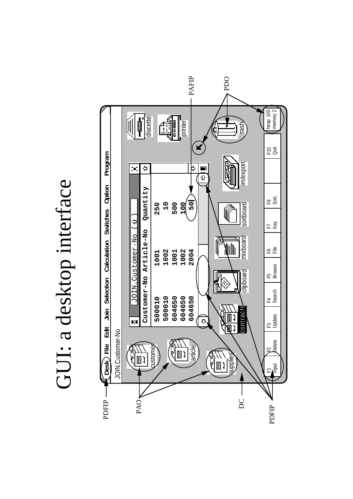# GUI: a desktop interface GUI: a desktop interface

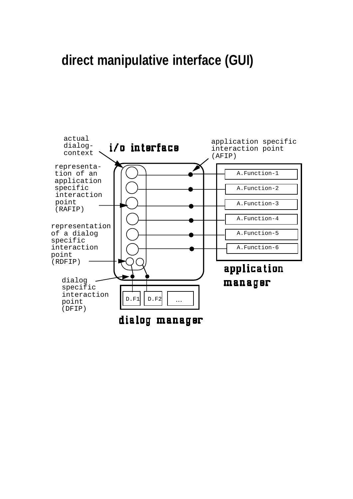### **direct manipulative interface (GUI)**

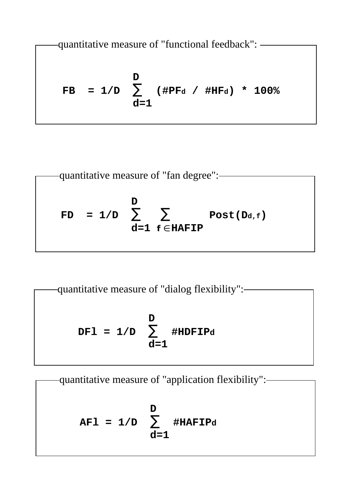quantitative measure of "functional feedback":

$$
\begin{array}{rcl}\n\text{F} & = & 1/D & \sum_{d=1}^{D} & (\# \text{PF}_d / \# \text{HF}_d) * 100\% \\
\end{array}
$$

– quantitative measure of "fan degree":

\n**FD** = 1/D

\n
$$
\sum_{d=1}^{D} \sum_{f \in HAFFIP} \text{Post}(D_{d,f})
$$

–quantitative measure of "dialog flexibility":

\n**DF1 = 1/D**

\n
$$
\sum_{d=1}^{D} \#IDFTPd
$$

 **D**  $\texttt{AFl = 1/D} \quad \sum \quad \texttt{\#HAFIPd}$  **d=1** -quantitative measure of "application flexibility":-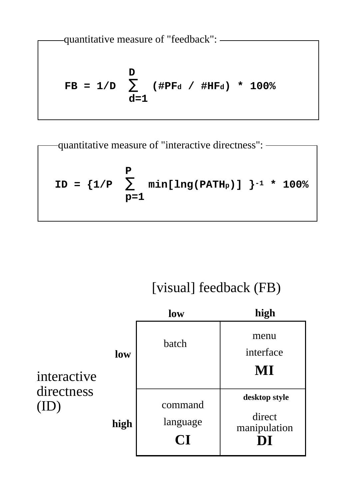quantitative measure of "feedback":

$$
FB = 1/D
$$
  $\sum_{d=1}^{D}$  (#PF<sub>d</sub> / #HF<sub>d</sub>) \* 100%

\n
$$
\text{quantitative measure of "interactive directness":}\n \begin{array}{c}\n \text{mean} \\
 \text{min}\left[\ln(\text{PATH}_p)\right] \quad \text{sum 1} \\
 \text{min}\left[\ln(\text{PATH}_p)\right] \quad \text{sum 2} \\
 \text{min}\left[\ln(\text{PATH}_p)\right] \quad \text{sum 3} \\
 \text{min}\left[\ln(\text{PATH}_p)\right] \quad \text{sum 4} \\
 \text{min}\left[\ln(\text{Input})\right] \quad \text{sum 5} \\
 \text{min}\left[\ln(\text{Input})\right] \quad \text{sum 6} \\
 \text{min}\left[\ln(\text{Input})\right] \quad \text{sum 7} \\
 \text{min}\left[\ln(\text{Input})\right] \quad \text{sum 8} \\
 \text{min}\left[\ln(\text{Input})\right] \quad \text{sum 9} \\
 \text{min}\left[\ln(\text{Input})\right] \quad \text{sum 9} \\
 \text{min}\left[\ln(\text{Input})\right] \quad \text{sum 1} \\
 \text{min}\left[\ln(\text{Input})\right] \quad \text{sum 2} \\
 \text{min}\left[\ln(\text{Input})\right] \quad \text{sum 3} \\
 \text{min}\left[\ln(\text{Input})\right] \quad \text{sum 4} \\
 \text{min}\left[\ln(\text{Input})\right] \quad \text{sum 5} \\
 \text{min}\left[\ln(\text{Input})\right] \quad \text{sum 6} \\
 \text{min}\left[\ln(\text{Input})\right] \quad \text{sum 7} \\
 \text{min}\left[\ln(\text{Input})\right] \quad \text{sum 8} \\
 \text{min}\left[\ln(\text{Input})\right] \quad \text{sum 9} \\
 \text{min}\left[\ln(\text{Input})\right] \quad \text{sum 9} \\
 \text{min}\left[\ln(\text{Input})\right] \quad \text{sum 1} \\
 \text{min}\left[\ln(\text{Input})\right] \quad \text{sum 1} \\
 \text{min}\left[\ln(\text{Input})\right] \quad \text{sum 2} \\
 \text{min}\left[\ln(\text{Input})\right] \quad \text{sum 3} \\
 \text{min}\left[\ln(\text{Input})\right] \quad \text{sum 4} \\
 \text{min}\left[\ln(\text{Input})\right] \quad \text{sum 5} \\
 \text{min}\left[\ln(\text{Input})\right] \quad \text{sum 6} \\
 \text{min}\left[\ln(\text{Input})\right] \quad \text{sum 1} \\
$$

### [visual] feedback (FB)

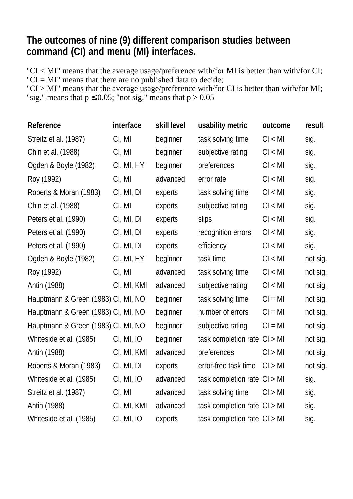### **The outcomes of nine (9) different comparison studies between command (CI) and menu (MI) interfaces.**

"CI < MI" means that the average usage/preference with/for MI is better than with/for CI; " $CI = MI$ " means that there are no published data to decide;

"CI > MI" means that the average usage/preference with/for CI is better than with/for MI; "sig." means that  $p \le 0.05$ ; "not sig." means that  $p > 0.05$ 

| Reference                           | interface   | skill level | usability metric             | outcome   | result   |
|-------------------------------------|-------------|-------------|------------------------------|-----------|----------|
| Streitz et al. (1987)               | CI, MI      | beginner    | task solving time            | Cl < M    | sig.     |
| Chin et al. (1988)                  | CI, MI      | beginner    | subjective rating            | Cl < M1   | sig.     |
| Ogden & Boyle (1982)                | CI, MI, HY  | beginner    | preferences                  | Cl < M    | sig.     |
| Roy (1992)                          | CI, MI      | advanced    | error rate                   | Cl < M1   | sig.     |
| Roberts & Moran (1983)              | CI, MI, DI  | experts     | task solving time            | Cl < Ml   | sig.     |
| Chin et al. (1988)                  | CI, MI      | experts     | subjective rating            | Cl < M1   | sig.     |
| Peters et al. (1990)                | CI, MI, DI  | experts     | <b>slips</b>                 | Cl < M    | sig.     |
| Peters et al. (1990)                | CI, MI, DI  | experts     | recognition errors           | Cl < M1   | sig.     |
| Peters et al. (1990)                | CI, MI, DI  | experts     | efficiency                   | Cl < M    | sig.     |
| Ogden & Boyle (1982)                | CI, MI, HY  | beginner    | task time                    | Cl < M1   | not sig. |
| Roy (1992)                          | CI, MI      | advanced    | task solving time            | Cl < Ml   | not sig. |
| Antin (1988)                        | CI, MI, KMI | advanced    | subjective rating            | Cl < M1   | not sig. |
| Hauptmann & Green (1983) CI, MI, NO |             | beginner    | task solving time            | $CI = MI$ | not sig. |
| Hauptmann & Green (1983) CI, MI, NO |             | beginner    | number of errors             | $CI = MI$ | not sig. |
| Hauptmann & Green (1983) CI, MI, NO |             | beginner    | subjective rating            | $CI = MI$ | not sig. |
| Whiteside et al. (1985)             | CI, MI, IO  | beginner    | task completion rate CI > MI |           | not sig. |
| Antin (1988)                        | CI, MI, KMI | advanced    | preferences                  | Cl > MI   | not sig. |
| Roberts & Moran (1983)              | CI, MI, DI  | experts     | error-free task time         | Cl > Ml   | not sig. |
| Whiteside et al. (1985)             | CI, MI, IO  | advanced    | task completion rate CI > MI |           | sig.     |
| Streitz et al. (1987)               | CI, MI      | advanced    | task solving time            | Cl > MI   | sig.     |
| Antin (1988)                        | CI, MI, KMI | advanced    | task completion rate CI > MI |           | sig.     |
| Whiteside et al. (1985)             | CI, MI, IO  | experts     | task completion rate CI > MI |           | sig.     |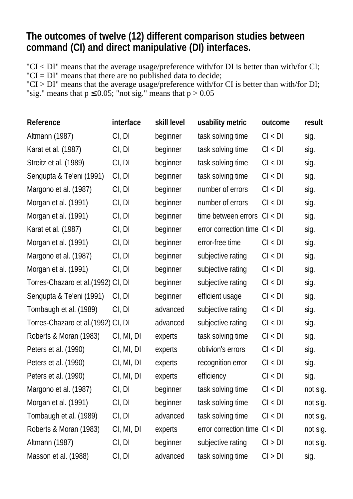### **The outcomes of twelve (12) different comparison studies between command (CI) and direct manipulative (DI) interfaces.**

"CI < DI" means that the average usage/preference with/for DI is better than with/for CI; " $CI = DI$ " means that there are no published data to decide;

"CI > DI" means that the average usage/preference with/for CI is better than with/for DI; "sig." means that  $p \le 0.05$ ; "not sig." means that  $p > 0.05$ 

| Reference                           | interface  | skill level | usability metric                | outcome | result   |
|-------------------------------------|------------|-------------|---------------------------------|---------|----------|
| Altmann (1987)                      | CI, DI     | beginner    | task solving time               | Cl < DI | sig.     |
| Karat et al. (1987)                 | CI, DI     | beginner    | task solving time               | CI < DI | sig.     |
| Streitz et al. (1989)               | CI, DI     | beginner    | task solving time               | CI < DI | sig.     |
| Sengupta & Te'eni (1991)            | CI, DI     | beginner    | task solving time               | CI < DI | sig.     |
| Margono et al. (1987)               | CI, DI     | beginner    | number of errors                | Cl < DI | sig.     |
| Morgan et al. (1991)                | CI, DI     | beginner    | number of errors                | Cl < DI | sig.     |
| Morgan et al. (1991)                | CI, DI     | beginner    | time between errors             | Cl < DI | sig.     |
| Karat et al. (1987)                 | CI, DI     | beginner    | error correction time $CI < DI$ |         | sig.     |
| Morgan et al. (1991)                | CI, DI     | beginner    | error-free time                 | Cl < DI | sig.     |
| Margono et al. (1987)               | CI, DI     | beginner    | subjective rating               | Cl < DI | sig.     |
| Morgan et al. (1991)                | CI, DI     | beginner    | subjective rating               | CI < DI | sig.     |
| Torres-Chazaro et al. (1992) CI, DI |            | beginner    | subjective rating               | Cl < DI | sig.     |
| Sengupta & Te'eni (1991)            | CI, DI     | beginner    | efficient usage                 | CI < DI | sig.     |
| Tombaugh et al. (1989)              | CI, DI     | advanced    | subjective rating               | Cl < DI | sig.     |
| Torres-Chazaro et al. (1992) CI, DI |            | advanced    | subjective rating               | Cl < DI | sig.     |
| Roberts & Moran (1983)              | CI, MI, DI | experts     | task solving time               | CI < DI | sig.     |
| Peters et al. (1990)                | CI, MI, DI | experts     | oblivion's errors               | CI < DI | sig.     |
| Peters et al. (1990)                | CI, MI, DI | experts     | recognition error               | CI < DI | sig.     |
| Peters et al. (1990)                | CI, MI, DI | experts     | efficiency                      | CI < DI | sig.     |
| Margono et al. (1987)               | CI, DI     | beginner    | task solving time               | CI < DI | not sig. |
| Morgan et al. (1991)                | CI, DI     | beginner    | task solving time               | CI < DI | not sig. |
| Tombaugh et al. (1989)              | CI, DI     | advanced    | task solving time               | CI < DI | not sig. |
| Roberts & Moran (1983)              | CI, MI, DI | experts     | error correction time $CI < DI$ |         | not sig. |
| Altmann (1987)                      | CI, DI     | beginner    | subjective rating               | CI > DI | not sig. |
| Masson et al. (1988)                | CI, DI     | advanced    | task solving time               | Cl > DI | sig.     |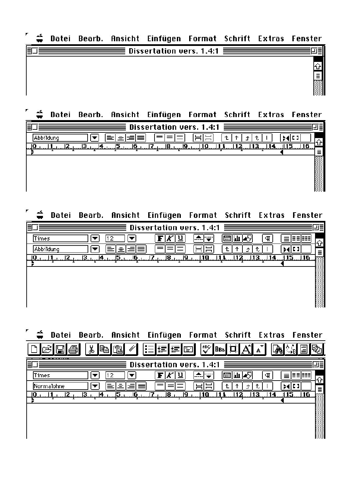|  |  | Datei Bearb. Ansicht Einfügen Format Schrift Extras Fenster |  |  |
|--|--|-------------------------------------------------------------|--|--|
|  |  | $\equiv$ Dissertation vers. 1.4:1 $\equiv$ $\equiv$         |  |  |
|  |  |                                                             |  |  |
|  |  |                                                             |  |  |
|  |  |                                                             |  |  |

′≑ Datei Bearb. Ansicht Einfügen Format Schrift Extras Fenster

| Dissertation vers. 1.4:1 $\equiv$ | Ξ        |
|-----------------------------------|----------|
| bildunc                           |          |
| ıя                                | 115<br>≣ |
|                                   |          |
|                                   |          |
|                                   |          |
|                                   |          |

 $\div$ Datei Bearb. Ansicht Einfügen Format Schrift Extras Fenster

|           | $\equiv$ Dissertation vers. 1.4:1 $\equiv$ |   |      | ۱≣  |
|-----------|--------------------------------------------|---|------|-----|
| Times     |                                            | 罡 | ш    |     |
| Abbildung |                                            |   |      | ≣   |
|           | 咀.<br>19                                   |   | 11Ā. | moo |
|           |                                            |   |      |     |
|           |                                            |   |      |     |
|           |                                            |   |      |     |
|           |                                            |   |      |     |

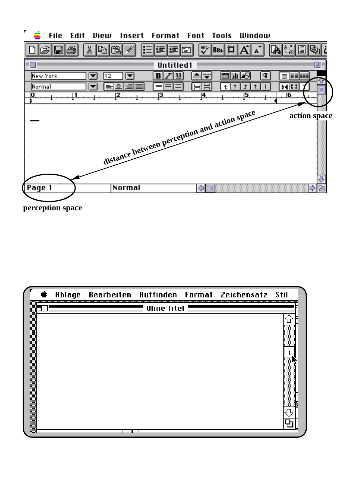

**perception space**

| é |  |                 | Ablage Bearbeiten Auffinden Format Zeichensatz Stil |  |
|---|--|-----------------|-----------------------------------------------------|--|
|   |  | Ohne Titel<br>≡ |                                                     |  |
|   |  |                 |                                                     |  |
|   |  |                 |                                                     |  |
|   |  |                 |                                                     |  |
|   |  |                 |                                                     |  |
|   |  |                 |                                                     |  |
|   |  |                 |                                                     |  |
|   |  |                 |                                                     |  |
|   |  | $\bullet$       |                                                     |  |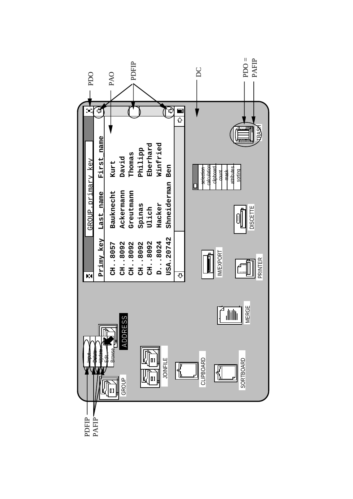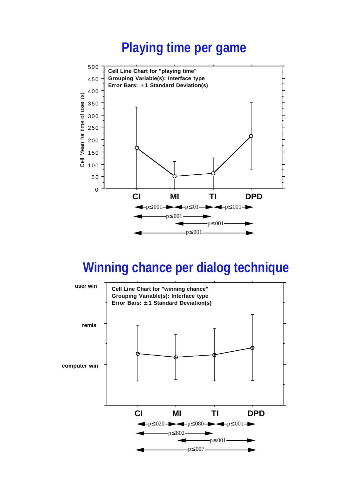### **Playing time per game**



### **Winning chance per dialog technique**

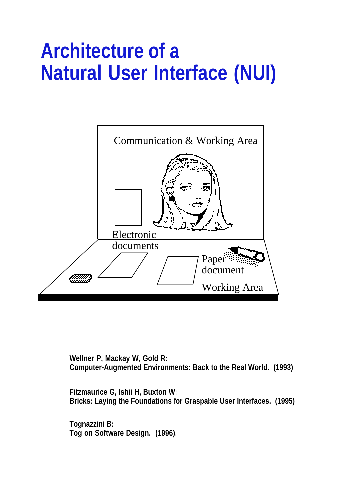# **Architecture of a Natural User Interface (NUI)**



**Wellner P, Mackay W, Gold R: Computer-Augmented Environments: Back to the Real World. (1993)**

**Fitzmaurice G, Ishii H, Buxton W: Bricks: Laying the Foundations for Graspable User Interfaces. (1995)**

**Tognazzini B: Tog on Software Design. (1996).**